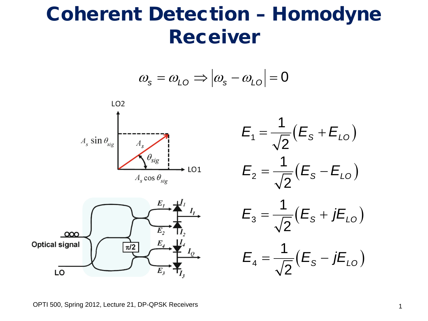## Coherent Detection – Homodyne Receiver

$$
\omega_{\rm s} = \omega_{\rm L0} \Longrightarrow |\omega_{\rm s} - \omega_{\rm L0}| = 0
$$







OPTI 500, Spring 2012, Lecture 21, DP-QPSK Receivers 1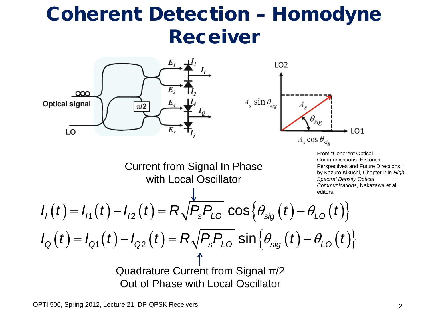## Coherent Detection – Homodyne Receiver

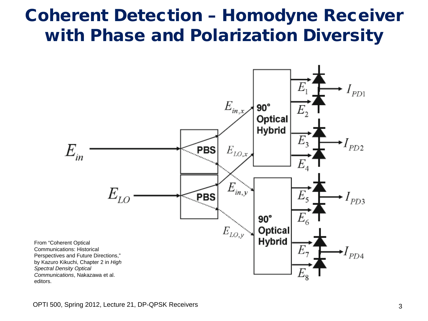## Coherent Detection – Homodyne Receiver with Phase and Polarization Diversity